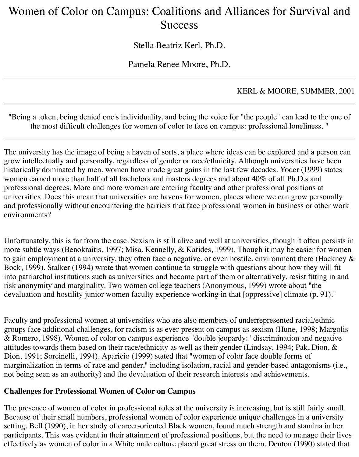# Women of Color on Campus: Coalitions and Alliances for Survival and **Success**

Stella Beatriz Kerl, Ph.D.

Pamela Renee Moore, Ph.D.

## KERL & MOORE, SUMMER, 2001

"Being a token, being denied one's individuality, and being the voice for "the people" can lead to the one of the most difficult challenges for women of color to face on campus: professional loneliness. "

The university has the image of being a haven of sorts, a place where ideas can be explored and a person can grow intellectually and personally, regardless of gender or race/ethnicity. Although universities have been historically dominated by men, women have made great gains in the last few decades. Yoder (1999) states women earned more than half of all bachelors and masters degrees and about 40% of all Ph.D.s and professional degrees. More and more women are entering faculty and other professional positions at universities. Does this mean that universities are havens for women, places where we can grow personally and professionally without encountering the barriers that face professional women in business or other work environments?

Unfortunately, this is far from the case. Sexism is still alive and well at universities, though it often persists in more subtle ways (Benokraitis, 1997; Misa, Kennelly, & Karides, 1999). Though it may be easier for women to gain employment at a university, they often face a negative, or even hostile, environment there (Hackney & Bock, 1999). Stalker (1994) wrote that women continue to struggle with questions about how they will fit into patriarchal institutions such as universities and become part of them or alternatively, resist fitting in and risk anonymity and marginality. Two women college teachers (Anonymous, 1999) wrote about "the devaluation and hostility junior women faculty experience working in that [oppressive] climate (p. 91)."

Faculty and professional women at universities who are also members of underrepresented racial/ethnic groups face additional challenges, for racism is as ever-present on campus as sexism (Hune, 1998; Margolis & Romero, 1998). Women of color on campus experience "double jeopardy:" discrimination and negative attitudes towards them based on their race/ethnicity as well as their gender (Lindsay, 1994; Pak, Dion, & Dion, 1991; Sorcinelli, 1994). Aparicio (1999) stated that "women of color face double forms of marginalization in terms of race and gender," including isolation, racial and gender-based antagonisms (i.e., not being seen as an authority) and the devaluation of their research interests and achievements.

#### **Challenges for Professional Women of Color on Campus**

The presence of women of color in professional roles at the university is increasing, but is still fairly small. Because of their small numbers, professional women of color experience unique challenges in a university setting. Bell (1990), in her study of career-oriented Black women, found much strength and stamina in her participants. This was evident in their attainment of professional positions, but the need to manage their lives effectively as women of color in a White male culture placed great stress on them. Denton (1990) stated that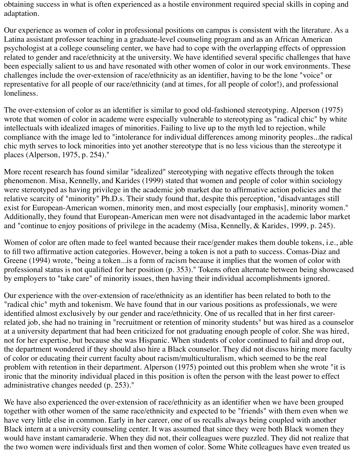obtaining success in what is often experienced as a hostile environment required special skills in coping and adaptation.

Our experience as women of color in professional positions on campus is consistent with the literature. As a Latina assistant professor teaching in a graduate-level counseling program and as an African American psychologist at a college counseling center, we have had to cope with the overlapping effects of oppression related to gender and race/ethnicity at the university. We have identified several specific challenges that have been especially salient to us and have resonated with other women of color in our work environments. These challenges include the over-extension of race/ethnicity as an identifier, having to be the lone "voice" or representative for all people of our race/ethnicity (and at times, for all people of color!), and professional loneliness.

The over-extension of color as an identifier is similar to good old-fashioned stereotyping. Alperson (1975) wrote that women of color in academe were especially vulnerable to stereotyping as "radical chic" by white intellectuals with idealized images of minorities. Failing to live up to the myth led to rejection, while compliance with the image led to "intolerance for individual differences among minority peoples...the radical chic myth serves to lock minorities into yet another stereotype that is no less vicious than the stereotype it places (Alperson, 1975, p. 254)."

More recent research has found similar "idealized" stereotyping with negative effects through the token phenomenon. Misa, Kennelly, and Karides (1999) stated that women and people of color within sociology were stereotyped as having privilege in the academic job market due to affirmative action policies and the relative scarcity of "minority" Ph.D.s. Their study found that, despite this perception, "disadvantages still exist for European-American women, minority men, and most especially [our emphasis], minority women." Additionally, they found that European-American men were not disadvantaged in the academic labor market and "continue to enjoy positions of privilege in the academy (Misa, Kennelly, & Karides, 1999, p. 245).

Women of color are often made to feel wanted because their race/gender makes them double tokens, i.e., able to fill two affirmative action categories. However, being a token is not a path to success. Comas-Diaz and Greene (1994) wrote, "being a token...is a form of racism because it implies that the women of color with professional status is not qualified for her position (p. 353)." Tokens often alternate between being showcased by employers to "take care" of minority issues, then having their individual accomplishments ignored.

Our experience with the over-extension of race/ethnicity as an identifier has been related to both to the "radical chic" myth and tokenism. We have found that in our various positions as professionals, we were identified almost exclusively by our gender and race/ethnicity. One of us recalled that in her first careerrelated job, she had no training in "recruitment or retention of minority students" but was hired as a counselor at a university department that had been criticized for not graduating enough people of color. She was hired, not for her expertise, but because she was Hispanic. When students of color continued to fail and drop out, the department wondered if they should also hire a Black counselor. They did not discuss hiring more faculty of color or educating their current faculty about racism/multiculturalism, which seemed to be the real problem with retention in their department. Alperson (1975) pointed out this problem when she wrote "it is ironic that the minority individual placed in this position is often the person with the least power to effect administrative changes needed (p. 253)."

We have also experienced the over-extension of race/ethnicity as an identifier when we have been grouped together with other women of the same race/ethnicity and expected to be "friends" with them even when we have very little else in common. Early in her career, one of us recalls always being coupled with another Black intern at a university counseling center. It was assumed that since they were both Black women they would have instant camaraderie. When they did not, their colleagues were puzzled. They did not realize that the two women were individuals first and then women of color. Some White colleagues have even treated us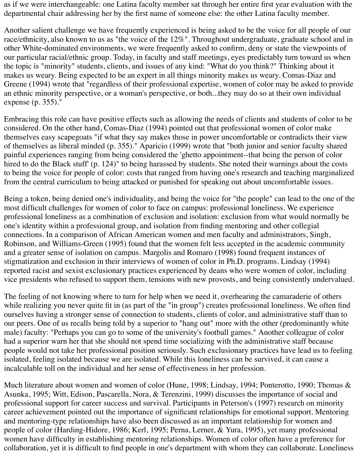as if we were interchangeable: one Latina faculty member sat through her entire first year evaluation with the departmental chair addressing her by the first name of someone else: the other Latina faculty member.

Another salient challenge we have frequently experienced is being asked to be the voice for all people of our race/ethnicity, also known to us as "the voice of the 12%". Throughout undergraduate, graduate school and in other White-dominated environments, we were frequently asked to confirm, deny or state the viewpoints of our particular racial/ethnic group. Today, in faculty and staff meetings, eyes predictably turn toward us when the topic is "minority" students, clients, and issues of any kind: "What do you think?" Thinking about it makes us weary. Being expected to be an expert in all things minority makes us weary. Comas-Diaz and Greene (1994) wrote that "regardless of their professional expertise, women of color may be asked to provide an ethnic minority perspective, or a woman's perspective, or both...they may do so at their own individual expense (p. 355)."

Embracing this role can have positive effects such as allowing the needs of clients and students of color to be considered. On the other hand, Comas-Diaz (1994) pointed out that professional women of color make themselves easy scapegoats "if what they say makes those in power uncomfortable or contradicts their view of themselves as liberal minded (p. 355)." Aparicio (1999) wrote that "both junior and senior faculty shared painful experiences ranging from being considered the 'ghetto appointment--that being the person of color hired to do the Black stuff' (p. 124)" to being harassed by students. She noted their warnings about the costs to being the voice for people of color: costs that ranged from having one's research and teaching marginalized from the central curriculum to being attacked or punished for speaking out about uncomfortable issues.

Being a token, being denied one's individuality, and being the voice for "the people" can lead to the one of the most difficult challenges for women of color to face on campus: professional loneliness. We experience professional loneliness as a combination of exclusion and isolation: exclusion from what would normally be one's identity within a professional group, and isolation from finding mentoring and other collegial connections. In a comparison of African American women and men faculty and administrators, Singh, Robinson, and Williams-Green (1995) found that the women felt less accepted in the academic community and a greater sense of isolation on campus. Margolis and Romaro (1998) found frequent instances of stigmatization and exclusion in their interviews of women of color in Ph.D. programs. Lindsay (1994) reported racist and sexist exclusionary practices experienced by deans who were women of color, including vice presidents who refused to support them, tensions with new provosts, and being consistently undervalued.

The feeling of not knowing where to turn for help when we need it, overhearing the camaraderie of others while realizing you never quite fit in (as part of the "in group") creates professional loneliness. We often find ourselves having a stronger sense of connection to students, clients of color, and administrative staff than to our peers. One of us recalls being told by a superior to "hang out" more with the other (predominantly white male) faculty: "Perhaps you can go to some of the university's football games." Another colleague of color had a superior warn her that she should not spend time socializing with the administrative staff because people would not take her professional position seriously. Such exclusionary practices have lead us to feeling isolated, feeling isolated because we are isolated. While this loneliness can be survived, it can cause a incalculable toll on the individual and her sense of effectiveness in her profession.

Much literature about women and women of color (Hune, 1998; Lindsay, 1994; Ponterotto, 1990; Thomas & Asunka, 1995; Witt, Edison, Pascarella, Nora, & Terenzini, 1999) discusses the importance of social and professional support for career success and survival. Participants in Peterson's (1997) research on minority career achievement pointed out the importance of significant relationships for emotional support. Mentoring and mentoring-type relationships have also been discussed as an important relationship for women and people of color (Harding-Hidore, 1986; Kerl, 1995; Perna, Lerner, & Yura, 1995), yet many professional women have difficulty in establishing mentoring relationships. Women of color often have a preference for collaboration, yet it is difficult to find people in one's department with whom they can collaborate. Loneliness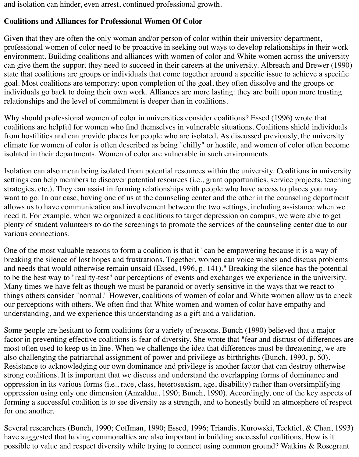and isolation can hinder, even arrest, continued professional growth.

#### **Coalitions and Alliances for Professional Women Of Color**

Given that they are often the only woman and/or person of color within their university department, professional women of color need to be proactive in seeking out ways to develop relationships in their work environment. Building coalitions and alliances with women of color and White women across the university can give them the support they need to succeed in their careers at the university. Albreach and Brewer (1990) state that coalitions are groups or individuals that come together around a specific issue to achieve a specific goal. Most coalitions are temporary: upon completion of the goal, they often dissolve and the groups or individuals go back to doing their own work. Alliances are more lasting: they are built upon more trusting relationships and the level of commitment is deeper than in coalitions.

Why should professional women of color in universities consider coalitions? Essed (1996) wrote that coalitions are helpful for women who find themselves in vulnerable situations. Coalitions shield individuals from hostilities and can provide places for people who are isolated. As discussed previously, the university climate for women of color is often described as being "chilly" or hostile, and women of color often become isolated in their departments. Women of color are vulnerable in such environments.

Isolation can also mean being isolated from potential resources within the university. Coalitions in university settings can help members to discover potential resources (i.e., grant opportunities, service projects, teaching strategies, etc.). They can assist in forming relationships with people who have access to places you may want to go. In our case, having one of us at the counseling center and the other in the counseling department allows us to have communication and involvement between the two settings, including assistance when we need it. For example, when we organized a coalitions to target depression on campus, we were able to get plenty of student volunteers to do the screenings to promote the services of the counseling center due to our various connections.

One of the most valuable reasons to form a coalition is that it "can be empowering because it is a way of breaking the silence of lost hopes and frustrations. Together, women can voice wishes and discuss problems and needs that would otherwise remain unsaid (Essed, 1996, p. 141)." Breaking the silence has the potential to be the best way to "reality-test" our perceptions of events and exchanges we experience in the university. Many times we have felt as though we must be paranoid or overly sensitive in the ways that we react to things others consider "normal." However, coalitions of women of color and White women allow us to check our perceptions with others. We often find that White women and women of color have empathy and understanding, and we experience this understanding as a gift and a validation.

Some people are hesitant to form coalitions for a variety of reasons. Bunch (1990) believed that a major factor in preventing effective coalitions is fear of diversity. She wrote that "fear and distrust of differences are most often used to keep us in line. When we challenge the idea that differences must be threatening, we are also challenging the patriarchal assignment of power and privilege as birthrights (Bunch, 1990, p. 50). Resistance to acknowledging our own dominance and privilege is another factor that can destroy otherwise strong coalitions. It is important that we discuss and understand the overlapping forms of dominance and oppression in its various forms (i.e., race, class, heterosexism, age, disability) rather than oversimplifying oppression using only one dimension (Anzaldua, 1990; Bunch, 1990). Accordingly, one of the key aspects of forming a successful coalition is to see diversity as a strength, and to honestly build an atmosphere of respect for one another.

Several researchers (Bunch, 1990; Coffman, 1990; Essed, 1996; Triandis, Kurowski, Tecktiel, & Chan, 1993) have suggested that having commonalties are also important in building successful coalitions. How is it possible to value and respect diversity while trying to connect using common ground? Watkins & Rosegrant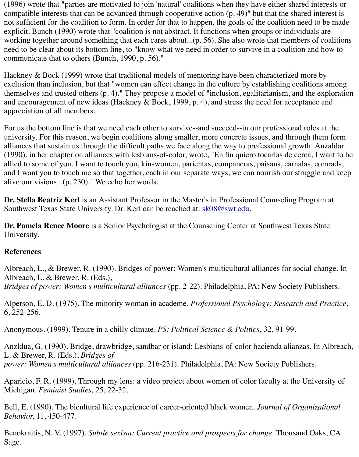Hackney & Bock (1999) wrote that traditional models of mentoring have been characterized m exclusion than inclusion, but that "women can effect change in the culture by establishing coal themselves and trusted others  $(p, 4)$ ." They propose a model of "inclusion, egalitarianism, and and encouragement of new ideas (Hackney & Bock, 1999, p. 4), and stress the need for accept appreciation of all members.

communicate that to others (Bunch, 1990, p. 56)."

For us the bottom line is that we need each other to survive--and succeed--in our professional roles university. For this reason, we begin coalitions along smaller, more concrete issues, and through alliances that sustain us through the difficult paths we face along the way to professional grow  $(1990)$ , in her chapter on alliances with lesbians-of-color, wrote, "En fin quiero tocarlas de cerca, I want to be the best to be the best to be the to be the to be the to be the to be the to be the to be the to be the t allied to some of you. I want to touch you, kinswomen, parientas, companeras, paisans, carnala and I want you to touch me so that together, each in our separate ways, we can nourish our stru alive our visions...(p. 230)." We echo her words.

**Dr. Stella Beatriz Kerl** is an Assistant Professor in the Master's in Professional Counseling Pro Southwest Texas State University. Dr. Kerl can be reached at: **sk08@swt.edu.** 

**Dr. Pamela Renee Moore** is a Senior Psychologist at the Counseling Center at Southwest Tex University.

### **References**

Albreach, L., & Brewer, R. (1990). Bridges of power: Women['s multicultural](mailto:sk08@swt.edu) alliances for soci Albreach, L. & Brewer, R. (Eds.), *Bridges of power: Women's multicultural alliances* (pp. 2-22). Philadelphia, PA: New Society

Alperson, E. D. (1975). The minority woman in academe. *Professional Psychology: Research* 6, 252-256.

Anonymous. (1999). Tenure in a chilly climate. *PS: Political Science & Politics*, 32, 91-99.

Anzldua, G. (1990). Bridge, drawbridge, sandbar or island: Lesbians-of-color hacienda alianza L. & Brewer, R. (Eds.), *Bridges of power: Women's multicultural alliances* (pp. 216-231). Philadelphia, PA: New Society Publish

Aparicio, F. R. (1999). Through my lens: a video project about women of color faculty at the U Michigan. *Feminist Studies,* 25, 22-32.

Bell, E. (1990). The bicultural life experience of career-oriented black women. *Journal of Organization Behavior,* 11, 450-477.

Benokraitis, N. V. (1997). *Subtle sexism: Current practice and prospects for change*. Thousand Sage.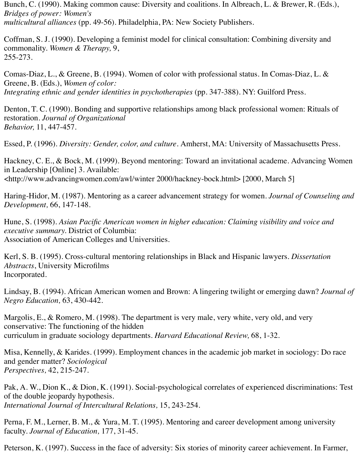Bunch, C. (1990). Making common cause: Diversity and coalitions. In Albreach, L. & Brewer, R. (Eds.), *Bridges of power: Women's multicultural alliances* (pp. 49-56). Philadelphia, PA: New Society Publishers.

Coffman, S. J. (1990). Developing a feminist model for clinical consultation: Combining diversity and commonality. *Women & Therapy,* 9, 255-273.

Comas-Diaz, L., & Greene, B. (1994). Women of color with professional status. In Comas-Diaz, L. & Greene, B. (Eds.), *Women of color: Integrating ethnic and gender identities in psychotherapies* (pp. 347-388). NY: Guilford Press.

Denton, T. C. (1990). Bonding and supportive relationships among black professional women: Rituals of restoration. *Journal of Organizational Behavior,* 11, 447-457.

Essed, P. (1996). *Diversity: Gender, color, and culture*. Amherst, MA: University of Massachusetts Press.

Hackney, C. E., & Bock, M. (1999). Beyond mentoring: Toward an invitational academe. Advancing Women in Leadership [Online] 3. Available: <http://www.advancingwomen.com/awl/winter 2000/hackney-bock.html> [2000, March 5]

Haring-Hidor, M. (1987). Mentoring as a career advancement strategy for women. *Journal of Counseling and Development,* 66, 147-148.

Hune, S. (1998). *Asian Pacific American women in higher education: Claiming visibility and voice and executive summary.* District of Columbia: Association of American Colleges and Universities.

Kerl, S. B. (1995). Cross-cultural mentoring relationships in Black and Hispanic lawyers. *Dissertation Abstracts*, University Microfilms Incorporated.

Lindsay, B. (1994). African American women and Brown: A lingering twilight or emerging dawn? *Journal of Negro Education,* 63, 430-442.

Margolis, E., & Romero, M. (1998). The department is very male, very white, very old, and very conservative: The functioning of the hidden curriculum in graduate sociology departments. *Harvard Educational Review,* 68, 1-32.

Misa, Kennelly, & Karides. (1999). Employment chances in the academic job market in sociology: Do race and gender matter? *Sociological Perspectives,* 42, 215-247.

Pak, A. W., Dion K., & Dion, K. (1991). Social-psychological correlates of experienced discriminations: Test of the double jeopardy hypothesis. *International Journal of Intercultural Relations,* 15, 243-254.

Perna, F. M., Lerner, B. M., & Yura, M. T. (1995). Mentoring and career development among university faculty. *Journal of Education,* 177, 31-45.

Peterson, K. (1997). Success in the face of adversity: Six stories of minority career achievement. In Farmer,